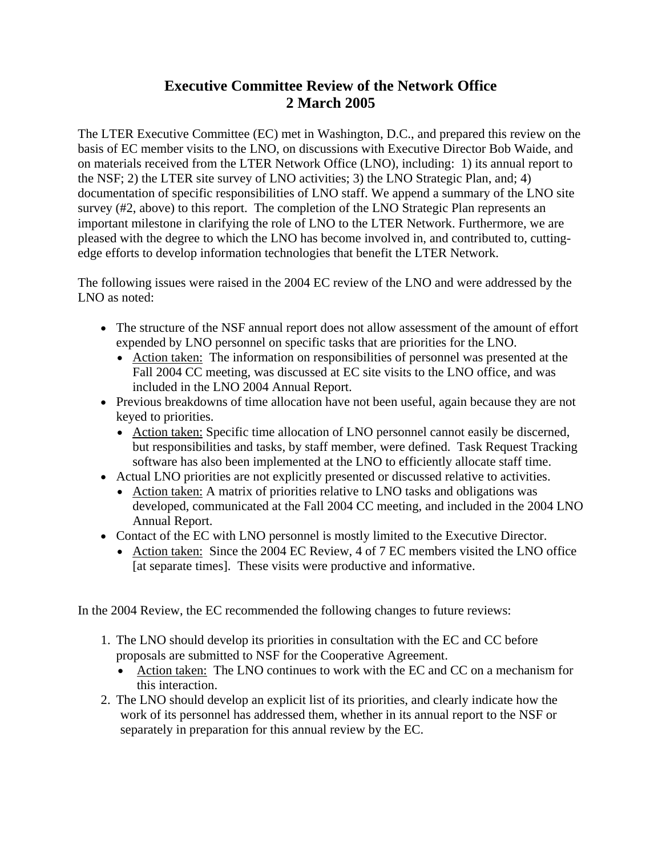## **Executive Committee Review of the Network Office 2 March 2005**

The LTER Executive Committee (EC) met in Washington, D.C., and prepared this review on the basis of EC member visits to the LNO, on discussions with Executive Director Bob Waide, and on materials received from the LTER Network Office (LNO), including: 1) its annual report to the NSF; 2) the LTER site survey of LNO activities; 3) the LNO Strategic Plan, and; 4) documentation of specific responsibilities of LNO staff. We append a summary of the LNO site survey (#2, above) to this report. The completion of the LNO Strategic Plan represents an important milestone in clarifying the role of LNO to the LTER Network. Furthermore, we are pleased with the degree to which the LNO has become involved in, and contributed to, cuttingedge efforts to develop information technologies that benefit the LTER Network.

The following issues were raised in the 2004 EC review of the LNO and were addressed by the LNO as noted:

- The structure of the NSF annual report does not allow assessment of the amount of effort expended by LNO personnel on specific tasks that are priorities for the LNO.
	- Action taken: The information on responsibilities of personnel was presented at the Fall 2004 CC meeting, was discussed at EC site visits to the LNO office, and was included in the LNO 2004 Annual Report.
- Previous breakdowns of time allocation have not been useful, again because they are not keyed to priorities.
	- Action taken: Specific time allocation of LNO personnel cannot easily be discerned, but responsibilities and tasks, by staff member, were defined. Task Request Tracking software has also been implemented at the LNO to efficiently allocate staff time.
- Actual LNO priorities are not explicitly presented or discussed relative to activities.
	- Action taken: A matrix of priorities relative to LNO tasks and obligations was developed, communicated at the Fall 2004 CC meeting, and included in the 2004 LNO Annual Report.
- Contact of the EC with LNO personnel is mostly limited to the Executive Director.
	- Action taken: Since the 2004 EC Review, 4 of 7 EC members visited the LNO office [at separate times]. These visits were productive and informative.

In the 2004 Review, the EC recommended the following changes to future reviews:

- 1. The LNO should develop its priorities in consultation with the EC and CC before proposals are submitted to NSF for the Cooperative Agreement.
	- Action taken: The LNO continues to work with the EC and CC on a mechanism for this interaction.
- 2. The LNO should develop an explicit list of its priorities, and clearly indicate how the work of its personnel has addressed them, whether in its annual report to the NSF or separately in preparation for this annual review by the EC.